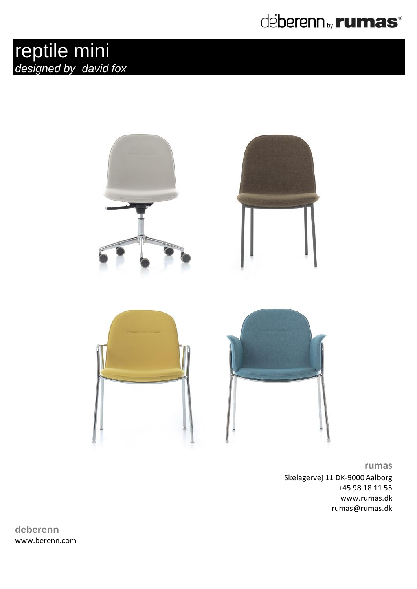## deberenn by **rumas**®





**rumas** Skelagervej 11 DK-9000 Aalborg +45 98 18 11 55 www.rumas.dk rumas@rumas.dk

**deberenn** www.berenn.com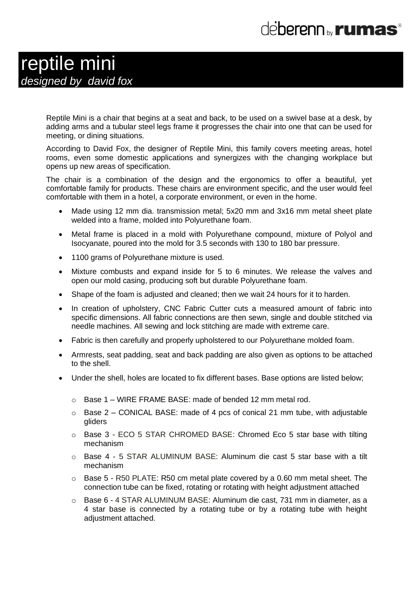# de**berenn** <sub>by</sub> **rumas**<sup>®</sup>

### reptile mini *designed by david fox*

Reptile Mini is a chair that begins at a seat and back, to be used on a swivel base at a desk, by adding arms and a tubular steel legs frame it progresses the chair into one that can be used for meeting, or dining situations.

According to David Fox, the designer of Reptile Mini, this family covers meeting areas, hotel rooms, even some domestic applications and synergizes with the changing workplace but opens up new areas of specification.

The chair is a combination of the design and the ergonomics to offer a beautiful, yet comfortable family for products. These chairs are environment specific, and the user would feel comfortable with them in a hotel, a corporate environment, or even in the home.

- Made using 12 mm dia. transmission metal; 5x20 mm and 3x16 mm metal sheet plate welded into a frame, molded into Polyurethane foam.
- Metal frame is placed in a mold with Polyurethane compound, mixture of Polyol and Isocyanate, poured into the mold for 3.5 seconds with 130 to 180 bar pressure.
- 1100 grams of Polyurethane mixture is used.
- Mixture combusts and expand inside for 5 to 6 minutes. We release the valves and open our mold casing, producing soft but durable Polyurethane foam.
- Shape of the foam is adjusted and cleaned; then we wait 24 hours for it to harden.
- In creation of upholstery, CNC Fabric Cutter cuts a measured amount of fabric into specific dimensions. All fabric connections are then sewn, single and double stitched via needle machines. All sewing and lock stitching are made with extreme care.
- Fabric is then carefully and properly upholstered to our Polyurethane molded foam.
- Armrests, seat padding, seat and back padding are also given as options to be attached to the shell.
- Under the shell, holes are located to fix different bases. Base options are listed below;
	- o Base 1 WIRE FRAME BASE: made of bended 12 mm metal rod.
	- $\circ$  Base 2 CONICAL BASE: made of 4 pcs of conical 21 mm tube, with adjustable gliders
	- o Base 3 ECO 5 STAR CHROMED BASE: Chromed Eco 5 star base with tilting mechanism
	- o Base 4 5 STAR ALUMINUM BASE: Aluminum die cast 5 star base with a tilt mechanism
	- $\circ$  Base 5 R50 PLATE: R50 cm metal plate covered by a 0.60 mm metal sheet. The connection tube can be fixed, rotating or rotating with height adjustment attached
	- o Base 6 4 STAR ALUMINUM BASE: Aluminum die cast, 731 mm in diameter, as a 4 star base is connected by a rotating tube or by a rotating tube with height adjustment attached.